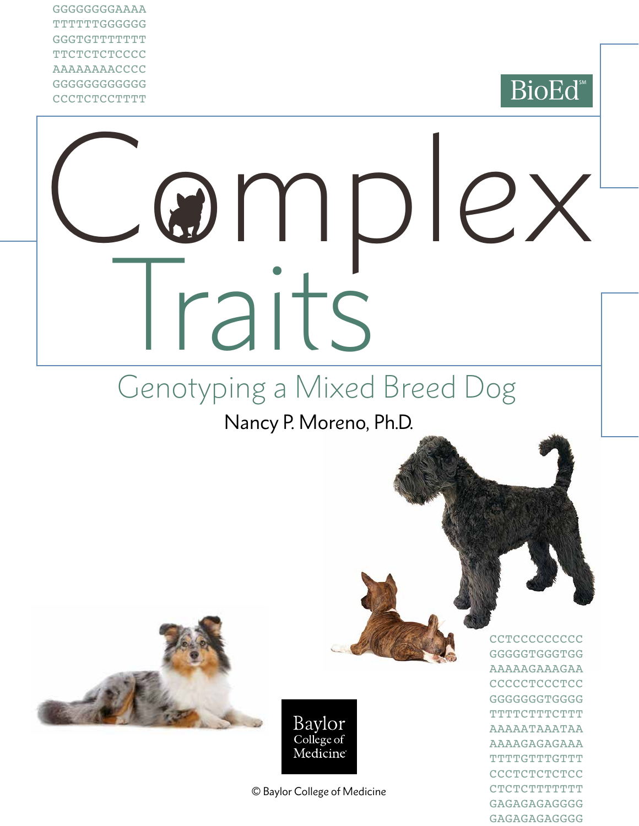GGGGGGGGAAAA TTTTTTGGGGGG **GGGTGTTTTTTTT TTCTCTCTCCCC** AAAAAAAACCCC GGGGGGGGGGGG **CCCTCTCCTTTT** 



# Complex *Taits*

## Genotyping a Mixed Breed Dog

Nancy P. Moreno, Ph.D.





© Baylor College of Medicine

**CCTCCCCCCCCC** GGGGGTGGGTGG AAAAAGAAAGAA **CCCCCTCCCTCC** GGGGGGGTGGGG **TTTTCTTTCTTT** AAAAATAAATAA AAAAGAGAGAAA TTTTGTTTGTTT **CCCTCTCTCCC** CTCTCTTTTTTT GAGAGAGAGGGG GAGAGAGAGGGG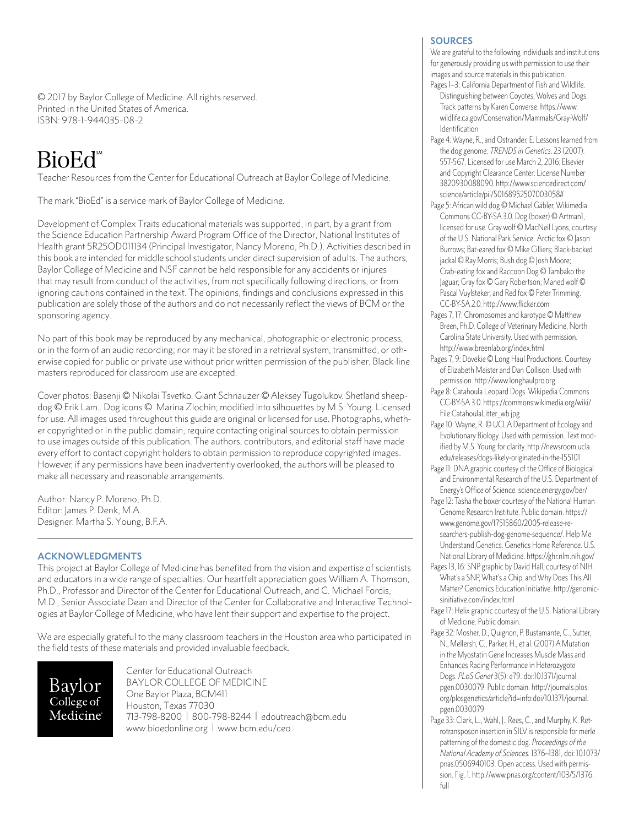© 2017 by Baylor College of Medicine. All rights reserved. Printed in the United States of America. ISBN: 978-1-944035-08-2

### BioEd<sup>\*\*</sup>

Teacher Resources from the Center for Educational Outreach at Baylor College of Medicine.

The mark "BioEd" is a service mark of Baylor College of Medicine.

Development of Complex Traits educational materials was supported, in part, by a grant from the Science Education Partnership Award Program Office of the Director, National Institutes of Health grant 5R25OD011134 (Principal Investigator, Nancy Moreno, Ph.D.). Activities described in this book are intended for middle school students under direct supervision of adults. The authors, Baylor College of Medicine and NSF cannot be held responsible for any accidents or injures that may result from conduct of the activities, from not specifically following directions, or from ignoring cautions contained in the text. The opinions, findings and conclusions expressed in this publication are solely those of the authors and do not necessarily reflect the views of BCM or the sponsoring agency.

No part of this book may be reproduced by any mechanical, photographic or electronic process, or in the form of an audio recording; nor may it be stored in a retrieval system, transmitted, or otherwise copied for public or private use without prior written permission of the publisher. Black-line masters reproduced for classroom use are excepted.

Cover photos: Basenji © Nikolai Tsvetko. Giant Schnauzer © Aleksey Tugolukov. Shetland sheepdog © Erik Lam.. Dog icons © Marina Zlochin; modified into silhouettes by M.S. Young. Licensed for use. All images used throughout this guide are original or licensed for use. Photographs, whether copyrighted or in the public domain, require contacting original sources to obtain permission to use images outside of this publication. The authors, contributors, and editorial staff have made every effort to contact copyright holders to obtain permission to reproduce copyrighted images. However, if any permissions have been inadvertently overlooked, the authors will be pleased to make all necessary and reasonable arrangements.

Author: Nancy P. Moreno, Ph.D. Editor: James P. Denk, M.A. Designer: Martha S. Young, B.F.A.

#### **ACKNOWLEDGMENTS**

This project at Baylor College of Medicine has benefited from the vision and expertise of scientists and educators in a wide range of specialties. Our heartfelt appreciation goes William A. Thomson, Ph.D., Professor and Director of the Center for Educational Outreach, and C. Michael Fordis, M.D., Senior Associate Dean and Director of the Center for Collaborative and Interactive Technologies at Baylor College of Medicine, who have lent their support and expertise to the project.

We are especially grateful to the many classroom teachers in the Houston area who participated in the field tests of these materials and provided invaluable feedback.

Baylor College of Medicine Center for Educational Outreach BAYLOR COLLEGE OF MEDICINE One Baylor Plaza, BCM411 Houston, Texas 77030 713-798-8200 | 800-798-8244 | [edoutreach@bcm.edu](mailto:edoutreach@bcm.edu) <www.bioedonline.org> | <www.bcm.edu/ceo>

#### **SOURCES**

We are grateful to the following individuals and institutions for generously providing us with permission to use their images and source materials in this publication.

- Pages 1-3: California Department of Fish and Wildlife. Distinguishing between Coyotes, Wolves and Dogs. Track patterns by Karen Converse. [https://www.](https://www.wildlife.ca.gov/Conservation/Mammals/Gray-Wolf/Identification) [wildlife.ca.gov/Conservation/Mammals/Gray-Wolf/](https://www.wildlife.ca.gov/Conservation/Mammals/Gray-Wolf/Identification) **[Identification](https://www.wildlife.ca.gov/Conservation/Mammals/Gray-Wolf/Identification)**
- Page 4: Wayne, R., and Ostrander, E. Lessons learned from the dog genome. *TRENDS in Genetics*. 23 (2007): 557-567. Licensed for use March 2, 2016: Elsevier and Copyright Clearance Center: License Number 3820930088090. [http://www.sciencedirect.com/](http://www.sciencedirect.com/science/article/pii/S0168952507003058) [science/article/pii/S0168952507003058#](http://www.sciencedirect.com/science/article/pii/S0168952507003058)
- Page 5: African wild dog © Michael Gäbler, Wikimedia Commons CC-BY-SA 3.0. Dog (boxer) © Artman1, licensed for use. Gray wolf © MacNeil Lyons, courtesy of the U.S. National Park Service. Arctic fox © Jason Burrows; Bat-eared fox © Mike Cilliers; Black-backed jackal © Ray Morris; Bush dog © Josh Moore; Crab-eating fox and Raccoon Dog © Tambako the Jaguar; Gray fox © Gary Robertson; Maned wolf © Pascal Vuylsteker; and Red fox © Peter Trimming. CC-BY-SA 2.0.<http://www.flicker.com>
- Pages 7, 17: Chromosomes and karotype © Matthew Breen, Ph.D. College of Veterinary Medicine, North Carolina State University. Used with permission. <http://www.breenlab.org/index.html>
- Pages 7, 9: Dovekie © Long Haul Productions. Courtesy of Elizabeth Meister and Dan Collison. Used with permission. <http://www.longhaulpro.org>
- Page 8: Catahoula Leopard Dogs. Wikipedia Commons CC-BY-SA 3.0. [https://commons.wikimedia.org/wiki/](https://commons.wikimedia.org/wiki/File) [File](https://commons.wikimedia.org/wiki/File):[CatahoulaLitter\\_wb.jpg](CatahoulaLitter_wb.jpg)
- Page 10: Wayne, R. © UCLA Department of Ecology and Evolutionary Biology. Used with permission. Text modified by M.S. Young for clarity. [http://newsroom.ucla.](http://newsroom.ucla.edu/releases/dogs) [edu/releases/dogs-](http://newsroom.ucla.edu/releases/dogs)likely-originated-in-the-155101
- Page 11: DNA graphic courtesy of the Office of Biological and Environmental Research of the U.S. Department of Energy's Office of Science. <science.energy.gov/ber>/
- Page 12: Tasha the boxer courtesy of the National Human Genome Research Institute. Public domain. [https://](https://www.genome.gov/17515860/2005) [www.genome.gov/17515860/2005-](https://www.genome.gov/17515860/2005)release-researchers-publish-dog-genome-sequence/. Help Me Understand Genetics. Genetics Home Reference. U.S. National Library of Medicine. <https://ghr.nlm.nih.gov>/
- Pages 13, 16: SNP graphic by David Hall, courtesy of NIH. What's a SNP, What's a Chip, and Why Does This All Matter? Genomics Education Initiative. [http://genomic](http://genomicsinitiative.com/index.html)[sinitiative.com/index.html](http://genomicsinitiative.com/index.html)
- Page 17: Helix graphic courtesy of the U.S. National Library of Medicine. Public domain.
- Page 32: Mosher, D., Quignon, P, Bustamante, C., Sutter, N., Mellersh, C., Parker, H., et al. (2007) A Mutation in the Myostatin Gene Increases Muscle Mass and Enhances Racing Performance in Heterozygote Dogs. *PLoS Genet* 3(5): e79. doi[:10.1371/journal.](10.1371/journal.pgen) [pgen.](10.1371/journal.pgen)0030079. Public domain. [http://journals.plos.](http://journals.plos.org/plosgenetics/article?id=info:doi) [org/plosgenetics/article?id=info:doi/](http://journals.plos.org/plosgenetics/article?id=info:doi)[10.1371/journal.](10.1371/journal.pgen) [pgen.](10.1371/journal.pgen)0030079
- Page 33: Clark, L., Wahl, J., Rees, C., and Murphy, K. Retrotransposon insertion in SILV is responsible for merle patterning of the domestic dog. *Proceedings of the National Academy of Sciences.* 1376–1381, doi: [10.1073/](10.1073/pnas) [pnas.](10.1073/pnas)0506940103. Open access. Used with permission. Fig. 1. [http://www.pnas.org/content/103/5/1376.](http://www.pnas.org/content/103/5/1376.full) [full](http://www.pnas.org/content/103/5/1376.full)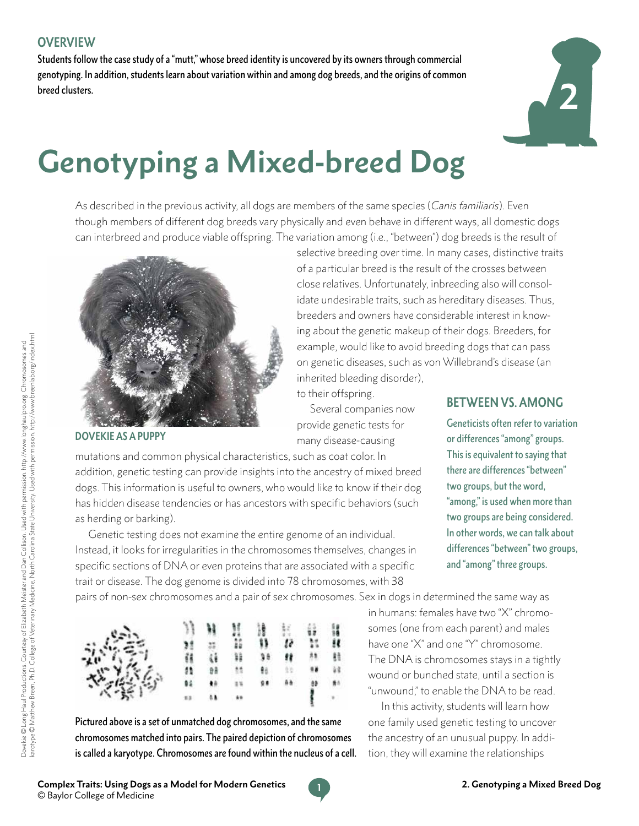Students follow the case study of a "mutt," whose breed identity is uncovered by its owners through commercial genotyping. In addition, students learn about variation within and among dog breeds, and the origins of common breed clusters.



## **Genotyping a Mixed-breed Dog**

As described in the previous activity, all dogs are members of the same species (*Canis familiaris*). Even though members of different dog breeds vary physically and even behave in different ways, all domestic dogs can interbreed and produce viable offspring. The variation among (i.e., "between") dog breeds is the result of



**DOVEKIE AS A PUPPY**

on genetic diseases, such as von Willebrand's disease (an inherited bleeding disorder), to their offspring. Several companies now provide genetic tests for many disease-causing mutations and common physical characteristics, such as coat color. In

addition, genetic testing can provide insights into the ancestry of mixed breed dogs. This information is useful to owners, who would like to know if their dog has hidden disease tendencies or has ancestors with specific behaviors (such as herding or barking).

Genetic testing does not examine the entire genome of an individual. Instead, it looks for irregularities in the chromosomes themselves, changes in specific sections of DNA or even proteins that are associated with a specific trait or disease. The dog genome is divided into 78 chromosomes, with 38

**BETWEEN VS. AMONG**

selective breeding over time. In many cases, distinctive traits of a particular breed is the result of the crosses between close relatives. Unfortunately, inbreeding also will consolidate undesirable traits, such as hereditary diseases. Thus, breeders and owners have considerable interest in knowing about the genetic makeup of their dogs. Breeders, for example, would like to avoid breeding dogs that can pass

> Geneticists often refer to variation or differences "among" groups. This is equivalent to saying that there are differences "between" two groups, but the word, "among," is used when more than two groups are being considered. In other words, we can talk about differences "between" two groups, and "among" three groups.

pairs of non-sex chromosomes and a pair of sex chromosomes. Sex in dogs in determined the same way as

| 淡美的 |    | Ħ | H             | 清月 | $\frac{1}{R}$ | W.  | 寶            |  |
|-----|----|---|---------------|----|---------------|-----|--------------|--|
|     |    |   |               |    |               |     |              |  |
|     |    |   | Ħ             |    | 98            | 88. | 鲑            |  |
|     |    |   | $\frac{1}{2}$ | ŧ٤ | 33            |     | 諸            |  |
|     | 84 | ٠ | 14            | 98 | Aà            |     | 84           |  |
|     |    |   |               |    |               |     | $\mathbf{r}$ |  |

Pictured above is a set of unmatched dog chromosomes, and the same chromosomes matched into pairs. The paired depiction of chromosomes is called a karyotype. Chromosomes are found within the nucleus of a cell. in humans: females have two "X" chromosomes (one from each parent) and males have one "X" and one "Y" chromosome. The DNA is chromosomes stays in a tightly wound or bunched state, until a section is "unwound," to enable the DNA to be read.

In this activity, students will learn how one family used genetic testing to uncover the ancestry of an unusual puppy. In addition, they will examine the relationships

Dovekie © Long Haul Productions. Courtesy of Elizabeth Meister and Dan Collison. Used with permission. http://www.longhaulpro.org. Chromosomes and<br>karotype © Matthew Breen, Ph.D. College of Veterinary Medicine, North Carol karotype © Matthew Breen, Ph.D. College of Veterinary Medicine, North Carolina State University. Used with permission.<http://www.breenlab.org/index.html> Dovekie © Long Haul Productions. Courtesy of Elizabeth Meister and Dan Collison. Used with permission.<http://www.longhaulpro.org>. Chromosomes and

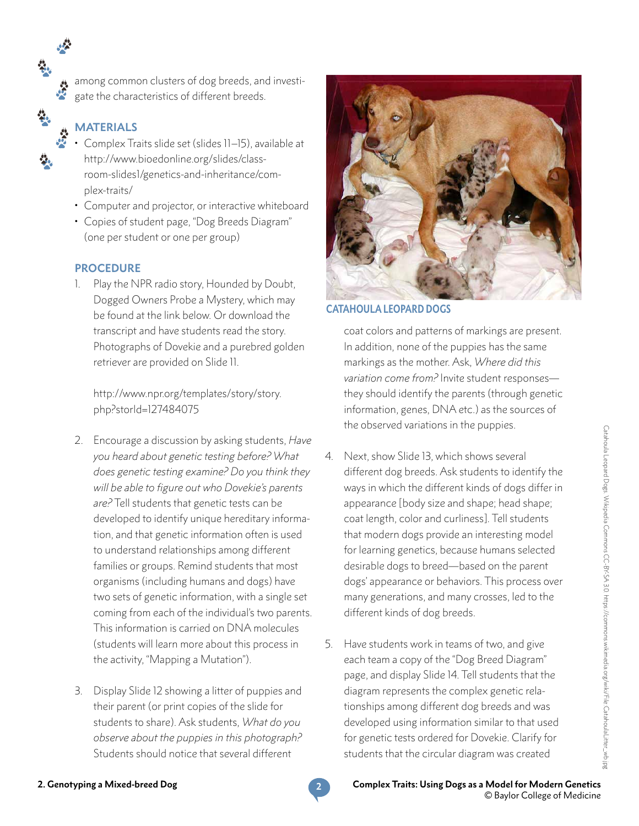among common clusters of dog breeds, and investigate the characteristics of different breeds.

#### **MATERIALS**

- Complex Traits slide set (slides 11–15), available at [http://www.bioedonline.org/slides/class](http://www.bioedonline.org/slides/classroom-slides1/genetics-and-inheritance/complex)[room-slides1/genetics-and-inheritance/com](http://www.bioedonline.org/slides/classroom-slides1/genetics-and-inheritance/complex)[plex-](http://www.bioedonline.org/slides/classroom-slides1/genetics-and-inheritance/complex)traits/
- Computer and projector, or interactive whiteboard
- Copies of student page, "Dog Breeds Diagram" (one per student or one per group)

#### **PROCEDURE**

1. Play the NPR radio story, Hounded by Doubt, Dogged Owners Probe a Mystery, which may be found at the link below. Or download the transcript and have students read the story. Photographs of Dovekie and a purebred golden retriever are provided on Slide 11.

[http://www.npr.org/templates/story/story.](http://www.npr.org/templates/story/story.php?storId=127484075) [php?storId=127484075](http://www.npr.org/templates/story/story.php?storId=127484075)

- 2. Encourage a discussion by asking students, *Have you heard about genetic testing before? What does genetic testing examine? Do you think they will be able to figure out who Dovekie's parents are?* Tell students that genetic tests can be developed to identify unique hereditary information, and that genetic information often is used to understand relationships among different families or groups. Remind students that most organisms (including humans and dogs) have two sets of genetic information, with a single set coming from each of the individual's two parents. This information is carried on DNA molecules (students will learn more about this process in the activity, "Mapping a Mutation").
- 3. Display Slide 12 showing a litter of puppies and their parent (or print copies of the slide for students to share). Ask students, *What do you observe about the puppies in this photograph?*  Students should notice that several different



#### **CATAHOULA LEOPARD DOGS**

coat colors and patterns of markings are present. In addition, none of the puppies has the same markings as the mother. Ask, *Where did this variation come from?* Invite student responses they should identify the parents (through genetic information, genes, DNA etc.) as the sources of the observed variations in the puppies.

- 4. Next, show Slide 13, which shows several different dog breeds. Ask students to identify the ways in which the different kinds of dogs differ in appearance [body size and shape; head shape; coat length, color and curliness]. Tell students that modern dogs provide an interesting model for learning genetics, because humans selected desirable dogs to breed—based on the parent dogs' appearance or behaviors. This process over many generations, and many crosses, led to the different kinds of dog breeds.
- 5. Have students work in teams of two, and give each team a copy of the "Dog Breed Diagram" page, and display Slide 14. Tell students that the diagram represents the complex genetic relationships among different dog breeds and was developed using information similar to that used for genetic tests ordered for Dovekie. Clarify for students that the circular diagram was created

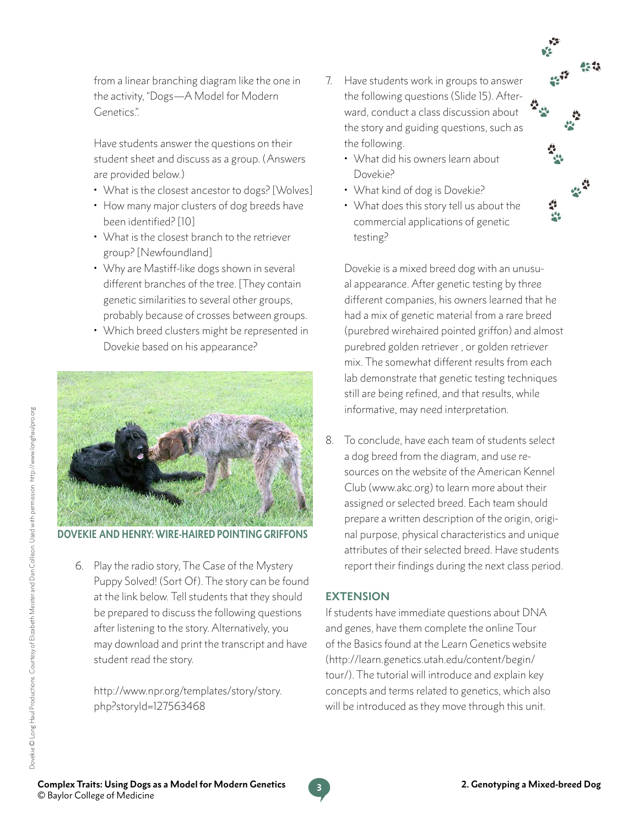from a linear branching diagram like the one in the activity, "Dogs—A Model for Modern Genetics.".

Have students answer the questions on their student sheet and discuss as a group. (Answers are provided below.)

- What is the closest ancestor to dogs? [Wolves]
- How many major clusters of dog breeds have been identified? [10]
- What is the closest branch to the retriever group? [Newfoundland]
- Why are Mastiff-like dogs shown in several different branches of the tree. [They contain genetic similarities to several other groups, probably because of crosses between groups.
- Which breed clusters might be represented in Dovekie based on his appearance?



**DOVEKIE AND HENRY: WIRE-HAIRED POINTING GRIFFONS**

6. Play the radio story, The Case of the Mystery Puppy Solved! (Sort Of). The story can be found at the link below. Tell students that they should be prepared to discuss the following questions after listening to the story. Alternatively, you may download and print the transcript and have student read the story.

[http://www.npr.org/templates/story/story.](http://www.npr.org/templates/story/story.php?storyId=127563468) [php?storyId=127563468](http://www.npr.org/templates/story/story.php?storyId=127563468)

- 7. Have students work in groups to answer the following questions (Slide 15). Afterward, conduct a class discussion about the story and guiding questions, such as the following.
	- What did his owners learn about Dovekie?
	- What kind of dog is Dovekie?
	- What does this story tell us about the commercial applications of genetic testing?

Dovekie is a mixed breed dog with an unusual appearance. After genetic testing by three different companies, his owners learned that he had a mix of genetic material from a rare breed (purebred wirehaired pointed griffon) and almost purebred golden retriever , or golden retriever mix. The somewhat different results from each lab demonstrate that genetic testing techniques still are being refined, and that results, while informative, may need interpretation.

8. To conclude, have each team of students select a dog breed from the diagram, and use resources on the website of the American Kennel Club ([www.akc.org\)](www.akc.org) to learn more about their assigned or selected breed. Each team should prepare a written description of the origin, original purpose, physical characteristics and unique attributes of their selected breed. Have students report their findings during the next class period.

#### **EXTENSION**

If students have immediate questions about DNA and genes, have them complete the online Tour of the Basics found at the Learn Genetics website [\(http://learn.genetics.utah.edu/content/begin/](http://learn.genetics.utah.edu/content/begin/tour) [tour/](http://learn.genetics.utah.edu/content/begin/tour)). The tutorial will introduce and explain key concepts and terms related to genetics, which also will be introduced as they move through this unit.